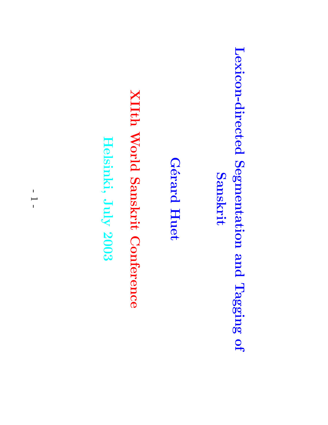### Lexicon-directed Segmentation Sanskrit Sanskrit and Tagging  $\mathbf{g}$

### G´erard Huet

# XIIth World Sanskrit Conference

### Helsinki,  $\mathbf{J}$ uly 2003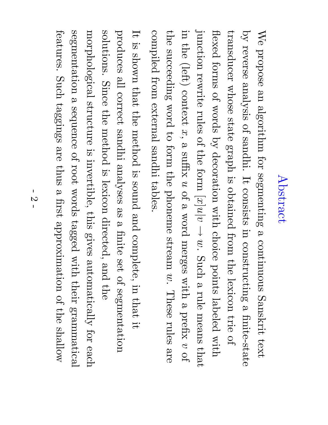#### Abstract Abstract

We propose an<br>D algorithm for segmenting a continuous Sanskrit  $\tt{test}$  $\mathcal{\overset{\sim}{X}}$ reverse analysis of sandhi.  $\bm{\Pi}$ consists in constructing a finite-state transducer whose state  ${\rm d}$ era ${\rm g}$  $\Xi.$ obtained from the lexicon trie of flexed forms of words  $\mathcal{\overset{\sim}{Q}}$ decoration with choice points labeled with junction rewrite rules  $\Xi$ the form  $\lbrack x \rbrack v$  $\downarrow$  $\mathcal{C}$ Such a rule means  $\mathrm{that}$ in the  $(\mathrm{left})$ context  $\mathcal{S}$  $\boldsymbol{\omega}$  $\sup_{\mathbf{x}}$  $z \,$ of  $\boldsymbol{\omega}$ word merges with a prefix  $\overline{c}$  $\Xi$ the succeeding word  $\Xi$ form the phoneme stream  $\mathcal{C}$ These rules are compiled from external sandhi tables.

 $\bm{\mathsf{\Pi}}$  $\Xi.$ shown that the method  $\Xi.$ sound and complete, in  $\thinspace \mathrm{that}$ it. produces ص<br>ا correct sandhi analyses e<br>S  $\omega$ finite set of segmentation solutions. Since the method  $\Xi.$ lexicon directed, and the morphological structure  $\Xi.$ invertible, this gives  $\operatorname{automatically}$ for each segmentation  $\mathbf \varphi$ sequence of root words tagged with their grammatical features. Such taggings are thus  $\omega$ first approximation of the shallow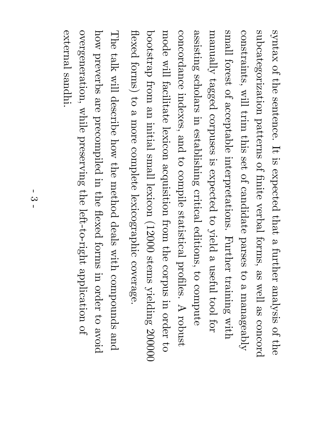syntax of the<br>P sentence.  $\bm{\mathsf{\Pi}}$  $\Xi.$ expected  $\thinspace \mathrm{that}$  $\omega$ further analysis of the<br>P subcategorization patterns of finite verbal forms, e<br>S well e<br>S concord constraints, will trim this set of candidate parses  $\Xi$  $\omega$  ${\rm v}$ lagea ${\rm b}$ ly small forest of acceptable interpretations. Further training with  $\Lambda$ llanuall $\Lambda$ tagged corpuses  $\Xi.$ expected  $\Xi$ yield  $\omega$ useful tool for assisting scholars in.<br>I establishing critical editions,  $\Xi$ compute concordance indexes, and  $\Xi$ compile statistical profiles.  $\blacktriangleright$ robust mode will facilitate lexicon acquisition from the corpus in order  $\Xi$ bootstrap from an<br>D initial small lexicon (12000 stems yielding 200000 flexed forms)  $\Xi$  $\mathbf \varphi$ more complete lexicographic coverage. The talk will describe how the method deals with compounds and how preverbs are precompiled in the flexed forms in order  $\mathfrak{S}$ avoid application of

overgeneration, while preserving the<br>P left-to-right external sandhi.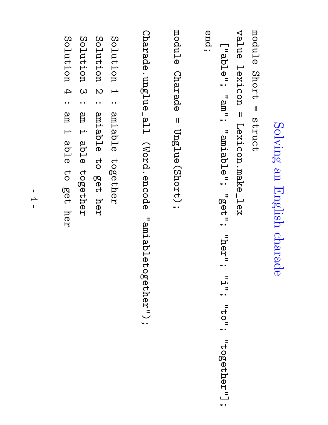### Solving an<br>D English charade

```
module Short = struct
```

```
value lexicon \mathbf{I}Lexicon.make_lex
```

```
["able"; "am"; "amiable"; "get"; "her"; =<br>.பு<br>. .
                 "<br>to";
                "together"];
end;
```

```
module
   Charade \mathbf{I}Unglue(Short);
```

```
Charade.unglue_all (Word.encode
   Charade.unglue_all (Word.encode "amiabletogether");
   "amiabletogether");
```

```
Solution \overline{\phantom{0}}: amiable together
                      Solution \overline{\mathcal{C}}: amiable ರ<br>೧
                   po<br>Po
                      her
   Solution Solution 3
 : e<br>B
   Ē.
   a<br>D<br>D
together
```

```
Solution 4 noiution 4
 : م<br>آ
  Ē.
  a<br>D<br>D
  ರ<br>೧
po<br>A<br>T
  her
```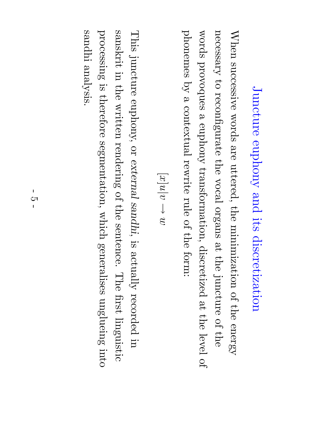### $\operatorname{Jundeture}$ euphony and its discretization

When successive words are uttered, the minimization of the energy necessary  $\Xi$ reconfigurate the vocal organs ည $\frac{\infty}{2}$ the juncture of the words provoques a euphony transformation, discretized ည $\frac{\bf p} {\bf p}$ the level of phonemes  $\mathcal{\widetilde{Q}}$  $\boldsymbol{\mathsf{\Omega}}$ contextual rewrite rule of the form:

$$
x]u|v \rightarrow w
$$

[

This juncture euphony, or external sandhi,  $\Xi.$  $\operatorname{argmin}$ recorded in sanskrit in.<br>I the written rendering of the sentence. The first linguistic processing  $\Xi.$ therefore segmentation, which generalises unglueing into sandhi analysis.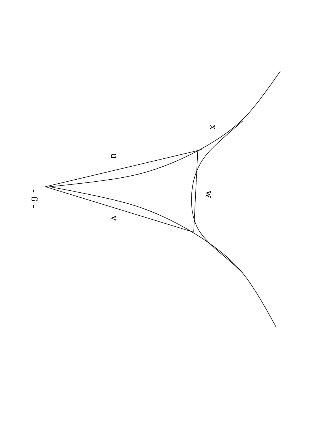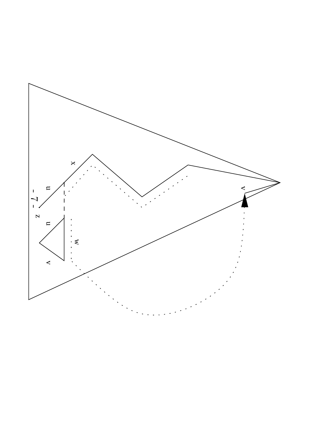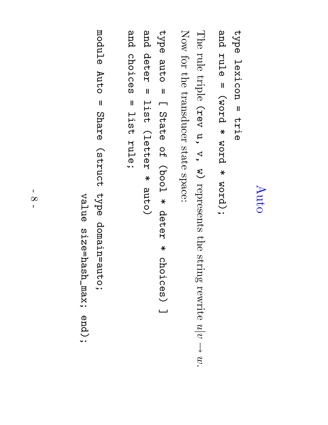#### Auto

type lexicon = **a**<br>Frie and rule  $\mathbf{I}$ (word  $\ast$ word  $\ast$ word);

The rule triple (rev u,  $\prec$  $\mathcal{\mathcal{\mathcal{\mathcal{L}}}}% (\theta)$ represents the string rewrite  $\frac{n}{\alpha}$  $\downarrow$  $\mathcal{C}$ Now for the transducer state space:

type auto  $\mathbf{I}$  $\Box$ State<br>State O<br>ዙ (bool  $\ast$ deter  $\ast$ choices) ا سا and deter  $\mathbf{I}$ list<br>1<br>1 (letter  $\star$ auto) and choices  $\mathbf{I}$ list<br>1<br>1 rule;

module Auto  $\mathbf{I}$ Share (struct type domain=auto;

value size=hash\_max; end);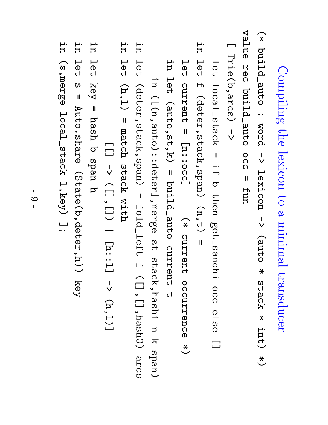Compiling the lexicon  $\mathsf{S}^{\mathsf{t}}$ <u>ဗ</u> minimal transducer

 $\widehat{*}$ build\_auto : word l<br>V lexicon l<br>V (auto  $\ast$ stack  $\ast$ int)  $\overset{*}{\smile}$ value R<br>Dec build\_auto ວ<br>ດ  $\mathbf{I}$ fun

 $\Box$ Trie(b,arcs) Irie(b, arcs) ->

ロ<br>この local\_stack  $\mathbf{I}$ 口.<br>H  $\bm{\sigma}$ then get\_sandhi ဝ<br>ဂ e<br>Da<br>O  $\Box$ p.<br>D ロ<br>この  $\mathsf{H}$ (deter,stack,span)  $(n,t)$  $\mathbf{I}$ 

ロ<br>この current  $\mathbf{I}$ [n::occ]  $\widehat{*}$ current occurrence  $\overset{\textstyle{*}}{\smile}$ i<br>P ロ<br>この (auto,st,k)  $\mathbf{I}$ build\_auto current ct

p.<br>P ([(n,auto)::deter],merge の<br>イ stack,hash1  $\rm\Xi$ k span) in ロ<br>この (deter,stack,span)  $\mathbf{I}$ fold\_left  $\mathsf{H}$ ([],[],hash0) arcs i<br>H ロ<br>ロ<br>ワ  $(h,1)$  $\mathbf{I}$ match stack with

 $\Box$ l<br>V ([],[])  $\overline{\phantom{0}}$ [h::l] l<br>V  $(\mathtt{h},\mathtt{l})$ ]

in let key  $\mathbf{I}$ hash  $\bm{\sigma}$ span h

in let ທ  $\mathbf{I}$ Auto.share (State(b,deter,h)) key

u<br>H (s,merge local\_stack  $1$ ,key) ب<br>. .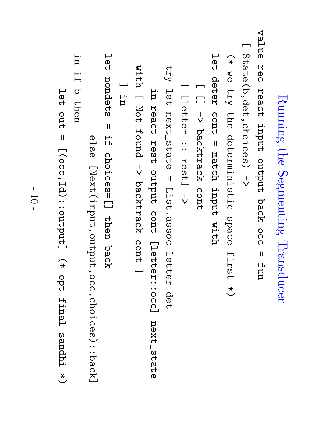Running the Segmenting Transducer value Rec react input output back occ  $\mathbf{I}$ fun  $\Box$ State(b,det,choices) l<br>V  $\widehat{*}$ ረ<br>ወ  $\Delta$ e<br>h<br>o deterministic space first  $\overset{\textstyle{*}}{\smile}$ ロ<br>この deter cont  $\mathbf{I}$ match input with  $\Box$  $\Box$ l<br>V backtrack cont | [letter ::<br>:: rest] l<br>V  $\Delta$ ロ<br>この next\_state  $\mathbf{I}$ List.assoc letter det i<br>E react rest output cont [letter::occ] next\_state with  $\Box$ Not\_found l<br>V backtrack cont ا سا ا سسا n.<br>E ロ<br>この nondets  $\mathbf{I}$ 口.<br>H choices=[] then back else [Next(input,output,oc).choices):iback]  $[\mathtt{Next}(\mathtt{input},\mathtt{out}(\mathtt{input},\mathtt{occ},\mathtt{choint})\colon\mathtt{index}$ u.<br>P 口.<br>H  $\bm{\sigma}$ then ロ<br>この out<br>4  $\mathbf{I}$ [(occ,Id)::output]  $\widehat{*}$ opt final sandhi

 $\overset{\textstyle{*}}{\smile}$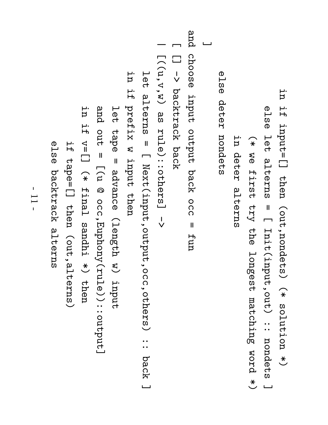e<br>Pa ロ<br>この alterns  $\mathbf{I}$  $\Box$ Init(input,out) ..<br>.. nondets اسسا  $\widehat{*}$ ፍ<br>ወ first  $\zeta$ e<br>he longest matching word  $\overset{\textstyle{*}}{\smile}$ u.<br>R deter alterns e<br>Da<br>D deter nondets اسسا and choose input output back occ  $\mathbf{I}$ fun  $\Box$  $\Box$ l<br>V backtrack back  $\overline{\phantom{0}}$  $\left[\,(\,{\rm u}\,, {\rm v}\,, {\rm v}\,, w)\,\right]$ ည<br>က rule)::others] l<br>V ロ<br>この alterns  $\mathbf{I}$  $\Box$ Next(input,output,occ,others) ::<br>:: back<br>M ] u.<br>P 口.<br>H prefix w input then ロ<br>この tape  $\mathbf{I}$ advance (length  $\mathcal{\vec{S}}$ input and<br>P out<br>4  $\mathbf{I}$ [(u @ occ,Euphony(rule))::output] n.<br>D 口.<br>H  $\mathbf{v}=[\ ]$  $\widehat{*}$ final sandhi  $\overset{\textstyle{*}}{\smile}$ then 口.<br>H tape=[] then (out,alterns) else backtrack alterns backtrack alterns

p.<br>P

口.<br>H

input=[]

then

(out,nondets)

 $\widehat{*}$ 

solution

 $\overset{\textstyle{*}}{\smile}$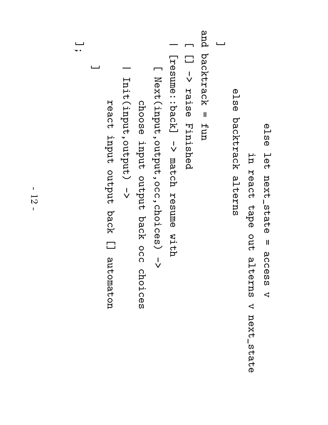i<br>P react tape out<br>4 alterns  $\prec$ else backtrack alterns backtrack alterns ا سا and backtrack  $\mathbf{I}$ fun  $\Box$  $\Box$ l<br>V raise Finished  $\overline{\phantom{0}}$ [resume::back] l<br>V match resume with  $\Box$ Next(input,output,occ,choices) l<br>V choose input output back occ choices  $\overline{\phantom{0}}$ Init(input,output) Init(input,output) -> react input output back  $\Box$ automaton ا سا ىــا<br>• •

e<br>Pa

ロ<br>この

next\_state

= access access

 $\prec$ 

next\_state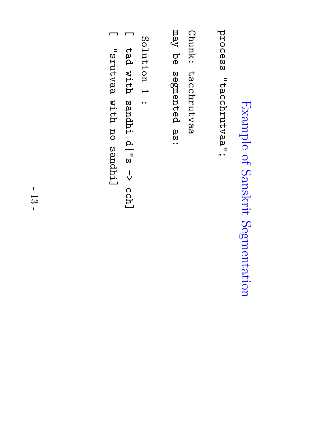## Example of Sanskrit Segmentation

process "tacchrutvaa"; process "tacchrutvaa";

Chunk: tacchrutvaa tacchrutvaa

 $\chi_{\rm{BIII}}$ ር<br>ወ segmented ထ<br>က<br>• •

Solution  $\overline{\phantom{0}}$ :

 $\Box$ բ<br>եժ with sandhi d<br>"s l<br>V cch]

 $\blacksquare$ "srutvaa with no sandhi]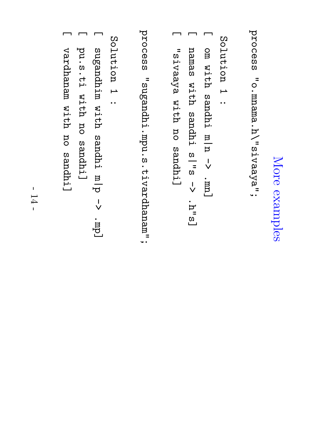### More examples

process "o.mnama.h\"sivaaya"; process "o.mnama.h\"sivaaya";

Solution  $\overline{\phantom{0}}$ :

- $\Box$ om with sandhi m|n l<br>V .<br>[UU]<br>\_
- $\Box$ namas with sandhi s<br>|<br>|<br>|<br>|<br>| l<br>V .h"s]
- $\Box$ "sivaaya with no sandhi]

process "sugandhi.mpu.s.tivardhanam"; process "sugandhi.mpu.s.tivardhanam";

Solution  $\overline{\phantom{0}}$ :

- $\Box$ sugandhim with sandhi d | u l<br>V  $\operatorname{\widetilde{L}}$
- $\Box$ pu.s.ti with no sandhi]
- $\Box$ vardhanam with no sandhi]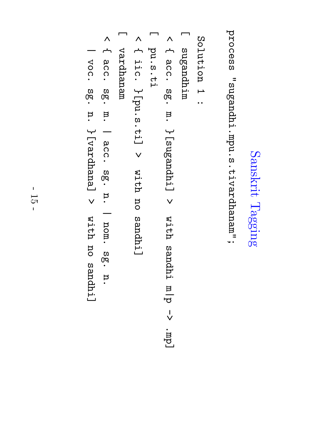# Sanskrit Tagging

process "sugandhi.mpu.s.tivardhanam"; process "sugandhi.mpu.s.tivardhanam";

- Solution  $\overline{\phantom{0}}$ :
- $\Box$ minbuegus sugandhim
- $\overline{\wedge}$  $\overline{\phantom{a}}$ ac.<br>C დ<br>ლ m.  $\{$  [sugandh $\,$ i $\,$ ]  $\checkmark$ with sandhi d | u l<br>V  $\operatorname{\widetilde{L}}$  $\Box$ pu.s.ti
- $\overline{\wedge}$  $\overline{\phantom{a}}$ i<br>iic.<br>i  $\{p\mathbf{u} \cdot \mathbf{s} \cdot \mathbf{t}$ i]  $\checkmark$ with no sandhi]
- $\Box$ meueupren vardhanam
- $\overline{\wedge}$  $\overline{\phantom{a}}$ ac.<br>C დ<br>ლ m. | ac<br>CC. ღ.<br>თ n.  $\overline{\phantom{0}}$ nom. დ<br>თ n.
- $\overline{\phantom{0}}$ voc. დ<br>ლ n.  $\left[\text{parallel}\right]$  $\checkmark$ with no sandhi]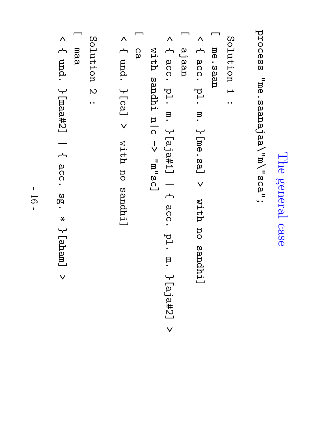#### The general case

process "me.saanajaa\"m\"sca"; process "me.saanajaa\"m\"sca";

Solution  $\overline{\phantom{0}}$ :

- $\Box$ me.saan me.saan
- $\overline{\wedge}$  $\overline{\phantom{a}}$ ac.<br>C pl. m.  $\left[\mathbb{m}\ominus\mathbb{a}\right]$  .  $\checkmark$ with no sandhi]
- $\Box$ ajaan
- $\overline{\wedge}$  $\overline{\phantom{a}}$ ac<br>CC. pl. m.  $[$ laja#1] $\{$ —<br>——  $\overline{\phantom{a}}$ ac<br>C pl. m.  $[2$ ja#2] $\{$  $\checkmark$ with sandhi n|c l<br>V  $\mathbb{m}$ " $\mathbb{C}$ c]
- $\Box$ cα
- $\overline{\wedge}$  $\overline{\phantom{a}}$ und.  $\left[\begin{smallmatrix} 1 & 0 & 0 \ 0 & 0 & 0 \end{smallmatrix}\right]$  $\checkmark$ with no sandhi]

Solution  $\overline{\mathcal{C}}$ :

 $\Box$ maa

 $\overline{\wedge}$  $\overline{\phantom{a}}$ und.  $[\mathbb{Z}$ #ee $[\mathbb{Z}^{\mathrm{H}}]$  $\overline{\phantom{0}}$  $\overline{\phantom{a}}$ ac.<br>C ღ.<br>ლ  $\ast$  $[\![\texttt{supp}]\!]$  $\checkmark$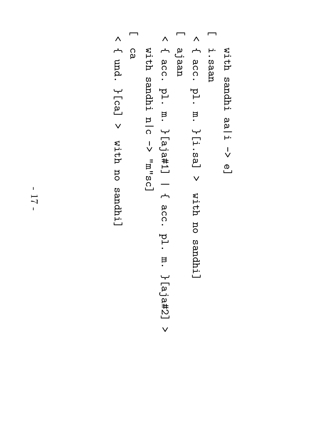- with sandhi aa|i l<br>V  $\mathsf{P}_{\mathsf{L}}$
- i.saan

 $\Box$ 

- $\overline{\wedge}$  $\overline{\phantom{a}}$ ac.<br>. pl. m.  $\{$ [i.sa]  $\checkmark$ with no sandhi]
- $\bigcap$ ajaan
- $\overline{\wedge}$  $\overline{\phantom{a}}$ ac<br>C pl. m.  $[$ laja#1] $\{$ —<br>——  $\overline{\phantom{a}}$ ac<br>C pl. m.  $[$ [aja#2] $\{$  $\checkmark$ with sandhi n|c l<br>V  $\mathbb{m}$ " $\mathbb{C}$ c]
- $\Box$ ca
- $\overline{\wedge}$  $\overline{\phantom{a}}$ und.  $\left[\begin{smallmatrix} 6 & 2 \ 2 & 1 \end{smallmatrix}\right]$  $\checkmark$ with no sandhi]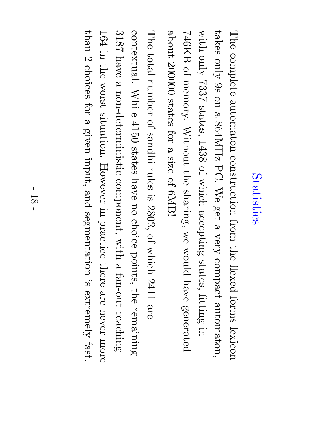#### Statistics Statistics

The complete automaton construction from the flexed forms lexicon takes only  $\mathbb{S}^2$ on  $\boldsymbol{\omega}$ 864MHz PC. We get  $\mathbf \varphi$ very compact automaton, with only 7337 states, 1438 of which accepting states, fitting in  $\rm H2B$ of memory. Without the sharing,  $\mathop{\otimes}\limits^{\mathop{\mathbb{C}}\limits_{\mathop{\mathbb{C}}\limits^{}}\mathop{\mathbb{C}}\limits^{\mathop{\mathbb{C}}\limits_{\mathop{\mathbb{C}}\limits^{}}\mathop{\mathbb{C}}\limits^{}}$ would have generated about 200000 states for  $\boldsymbol{\omega}$ size of 6MB!

The  $\operatorname{total}$ number of sandhi rules  $\Xi.$ 2802, of which 2411 are contextual. While 4150 states have no choice points, the remaining 318<br>28 have  $\mathbf \varphi$ non-deterministic component, with  $\mathbf \varphi$ fan-out reaching 164 in the worst situation. However in practice there are never more  ${\rm thd}$  $\mathcal{C}$ choices for  $\boldsymbol{\omega}$ given input, and segmentation  $\Xi.$  ${\rm extract}$ fast.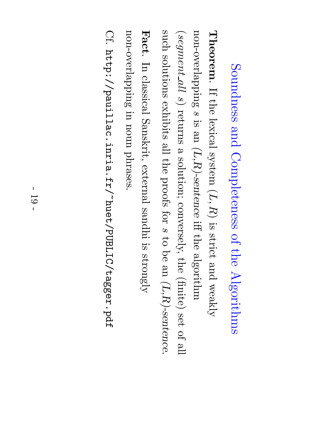### Soundness and Completeness of the Algorithms

 ${\rm Theorem}$ . If the lexical system  $(\overline{I},$  $\widehat{R})$  $\Xi.$ strict and weakly non-overlapping  $\mathbf c$  $\Xi.$ an<br>D  $(L,R)\text{-}sentence$ iff the algorithm  $(segment$  $\emph{a}$  $\mathfrak{S}$ returns  $\boldsymbol{\omega}$ solution; conversely, the  $(\mathrm{finite})$ set<br>O of  $\mathbb{E}$ such solutions exhibits  $\mathbb{E}$ the proofs for  $\mathbf c$  $\Xi$ a<br>O e<br>D  $(L,R)\text{-}sentence$ 

.

Fact.  $\rm \Xi$ classical Sanskrit, external sandhi  $\Xi.$  ${\rm dy}$ non-overlapping in.<br>I noun phrases.

Cf. http://pauillac.inria.fr/~huet/PUBLIC/tagger.pdf http://pauillac.inria.fr/~huet/PUBLIC/tagger.pdf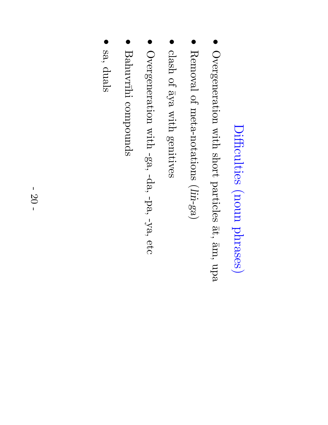# Difficulties (noun phrases)

- Overgeneration with short particles ¯at, ¯am, upa
- $\bullet$ Removal  $\Xi$ meta-notations  $\bigcup$  $\dot{n}$ –ga)
- $\bullet$ clash of  $\bar{\rm s}$ with genitives
- $\bullet$ Overgeneration with -ga, -da, -pa, -ya, etc
- Bahuvrīhi compounds Bahuvrihi compounds
- sa, duals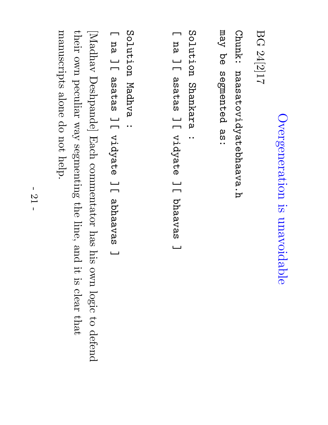# Overgeneration Overgeneration is unavoidable unavoidable

```
DG<br>C2
24[2]17
```
Chunk: naasatovidyatebhaava.h naasatovidyatebhaava.h

 $\chi_{\rm{e} \rm{m}}$ ር<br>ወ segmented 0<br>က<br>• •

```
Solution Shankara
 \BoxSolution na<br>R
 \Boxasatas Shankara \Box:
vidyate \Boxbhaavas ]
```

```
Solution Madhva Solution Madhva:
```

```
\Boxከ<br>አ
 \Boxasatas \Boxvidyate \Boxabhaavas اـــــا
```
[Madhav  $\operatorname{Deshphande}]$ Each commentator  $\operatorname{had}$ his  $\alpha_{\rm MU}$ logic  $\Xi$ defend their own peculiar  $\chi_{\mathrm{RM}}$ segmenting the line, and  $\Xi$ :  $\Xi.$ clear that manuscripts alone e<br>O not help.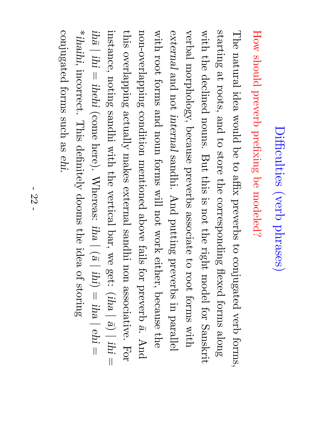# Difficulties (verb phrases)

### $_{\rm HOW}$ should preverb prefixing  $\operatorname*{g}\nolimits$ modeled?

The natural idea would  $\operatorname*{g}\nolimits$  $\Xi$  $\mathop{\hbox{\rm E}}\nolimits$ preverbs  $\Xi$ conjugated verb forms, starting ည $\frac{\infty}{2}$ roots, and  $\Xi$ store the corresponding flexed forms along with the declined nouns. But this  $\Xi.$ not the right model for Sanskrit verbal morphology, because preverbs associate  $\mathfrak{S}$ root forms with external and not internal sandhi. And  $\rm putting$ preverbs in parallel with root forms and noun forms will not work either, because the non-overlapping condition mentioned above fails for preverb  $\vec{e}$ And this overlapping  $\operatorname{argmin}$ makes external sandhi non associative.  $_{\rm IOT}$ instance, noting sandhi with the vertical bar,  $\mathop{\otimes}\limits^{\mathop{\mathbb{C}}\limits_{\mathop{\mathbb{C}}\limits^{}}\mathop{\mathbb{C}}\limits^{\mathop{\mathbb{C}}\limits_{\mathop{\mathbb{C}}\limits^{}}\mathop{\mathbb{C}}\limits^{}}$ get:  $\delta$ |  $\widehat{\vec{a}}$ | ihi  $\overline{\phantom{a}}$ ihā | ihi  $\overline{\phantom{a}}$ ihehi (come here). Whereas: iha |  $\widehat{g}$ | ihi)  $\overline{\phantom{a}}$ iha | ehi  $\overline{\phantom{a}}$  $\ast$ ihaihi, incorrect. This definitely dooms the idea of storing conjugated forms such e<br>So ehi.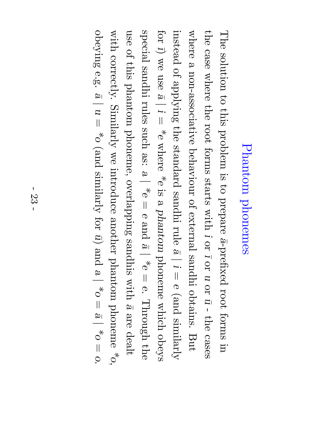# Phantom Phantom phonemes

The solution  $\Xi$ this problem  $\Xi.$  $\Xi$ prepare  $\bar{a}$ -prefixed root forms in the case where the root forms starts with İ. or ¯ı or  $\overline{\mathcal{L}}$ or  $\overline{\mathbf{u}}$  the cases where  $\mathbf \varphi$ non-associative behaviour of external sandhi obtains.  $\operatorname{Bul}$ instead of  $\operatorname{split}$ the standard sandhi rule  $\overline{a}$ | İ.  $\overline{\phantom{a}}$  $\mathbb O$ (and  $\operatorname{similarity}$ for  $\mathcal{L}$  $\mathbb{X}\mathbb{S}$ use  $\overline{a}$ | İ.  $\overline{\phantom{a}}$  $\mathfrak{S}^*$ where  $\overset{*}{\circ}$  $\Xi.$  $\mathbf \varphi$ phantom phoneme which obeys special sandhi rules such مبر<br>:<br>:  $\vartheta$ |  $\mathbb{P}^*$  $\overline{\phantom{a}}$  $\mathbb O$ and  $\overline{a}$ |  $\mathbb{P}^*$  $\overline{\phantom{a}}$ بہ  $T$ hrough the use of this phantom phoneme, overlapping sandhis with  $\overline{a}$ are dealt with correctly.  $\operatorname{Similarity}$  $\mathop{\otimes}\limits^{\mathop{\mathsf{M}}\nolimits}$ introduce another phantom phoneme  $\mathfrak{S}^*$ obeying e.g.  $\overline{a}$ |  $\overline{\mathcal{L}}$  $\overline{\phantom{a}}$  $\breve{\circ}^*$ (and  $\operatorname{similarity}$ for  $\overline{\omega}$ and a |  $\breve{\circ}^*$  $\overline{\phantom{a}}$  $\overline{a}$ |  $\breve{\circ}^*$  $\overline{\phantom{a}}$ o.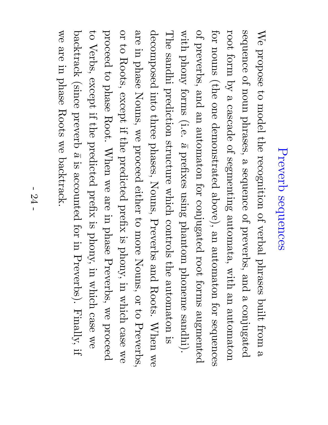# Preverb sequences sequences

We propose  $\Xi$ model the<br>P recognition of verbal phrases built from  $\boldsymbol{\omega}$ sequence of noun phrases,  $\omega$ sequence  $\Xi$ preverbs, and a conjugated root form  $\mathcal{\widetilde{Q}}$  $\omega$ cascade of segmenting automata, with e<br>D automaton for nouns (the one demonstrated above), an<br>D automaton for sequences of preverbs, and an<br>D automaton for conjugated root forms augmented with phony forms (i.e.  $\overline{a}$ prefixes using phantom phoneme sandhi). The sandhi prediction structure which controls the<br>P automaton  $\Xi.$ decomposed into three phases, Nouns, Preverbs and Roots.  $\rm{M}_{\rm{10}}$  $\mathbb{Z}^\infty$ are in phase Nouns,  $\mathop{\otimes}\limits^{\mathop{\mathsf{M}}\nolimits}$ proceed either  $\Xi$ more Nouns, or  $\Xi$ Preverbs, or  $\Xi$ Roots, except  $\Xi$ the predicted prefix  $\Xi.$ phony, in which case  $\mathop{\otimes}\limits^{\mathop{\mathsf{CS}}\nolimits}$ proceed  $\mathfrak{S}$ phase Root.  $\rm W_{11en}$  $\mathop{\otimes}\limits^{\mathop{\mathbb{N}}\nolimits}$ are in phase Preverbs,  $\mathop{\otimes}\limits^{\mathop{\mathsf{M}}\nolimits}$ proceed  $\Xi$ Verbs, except  $\Xi$ : the predicted prefix  $\Xi.$ phony, in which case  $\mathop{\otimes}\limits^{\mathop{\mathbb{S}}\nolimits}$ backtrack (since preverb ¯a  $\Xi.$ accounted for in Preverbs).  ${\rm Finally,}$  $\Xi$ :  $\mathop{\otimes}\limits^{\mathop{\mathsf{CS}}\nolimits}$ are in phase Roots  $\mathop{\otimes}\limits^{\mathop{\mathsf{CS}}\nolimits}$ backtrack.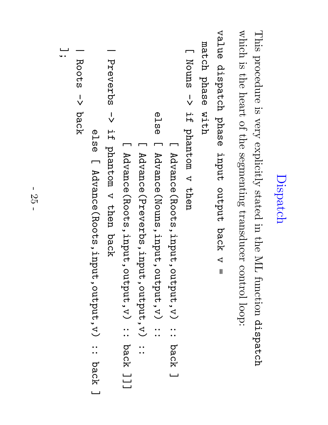#### Dispatch This procedure  $\Xi.$ very  $\exp$ licitly stated in the ML function dispatch which  $\Xi.$ the heart of the segmenting transducer control loop: value dispatch phase input output back  $\prec$  $\mathbf{I}$ match phase with  $\Box$ Nouns l<br>V 口.<br>H phantom  $\prec$ then [ Advance (Roots, input, output, v) Advance(Roots,input,output,v) :: back ا سا e<br>Pa  $\Box$ Advance(Nouns,input,output,v) ..<br>..  $\Box$ Advance(Preverbs,input,output,v) ..<br>..  $\Box$ Advance(Roots,input,output,v) ..<br>.. back ]]]  $\overline{\phantom{0}}$ Preverbs -> 口.<br>H phantom  $\prec$ then back e<br>Pa  $\Box$ Advance(Roots,input,output,v) ..<br>.. back  $\overline{\phantom{0}}$ Roots l<br>V back يــا<br>• •

ا سا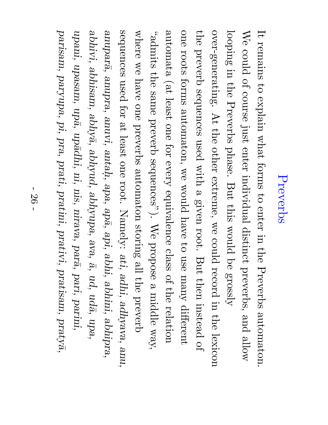#### Preverbs Preverbs

 $\mathbf{\mathcal{I}}$ remains  $\Xi$ explain  $\operatorname{whhat}$ forms  $\Xi^+$ enter in the Preverbs automaton. We could of course just enter individual distinct preverbs, and allow looping in the Preverbs phase. But this would ଚ<br>ଚ  $\rm{ylog}$ over-generating. At the other extreme,  $\mathbb{Z}^\infty$ could record in the<br>P lexicon the preverb sequences used with  $\boldsymbol{\omega}$ given root. But then instead of one roots forms automaton,  $\mathop{\otimes}\limits^{\mathop{\mathsf{CS}}\nolimits}$ would have  $\Xi$ use  $\Lambda$ ure $\rm{u}$ different automata  $\bigl( 3t \bigr)$ least one for every equivalence class of the<br>P relation  $\operatorname{supp}_{\cdot},$ the same preverb  $\mathrm{seq}$ uences").  $\mathbb{N}_\Theta$ propose  $\mathbf \varphi$ middle way, where  $\mathop{\otimes}\limits^{\mathop{\mathsf{CS}}\nolimits}$ have one preverbs automaton storing  $\mathbb{E}$ the preverb sequences used for ದಿ $\frac{1}{2}$ least one root. Namely: ati, adhi, adhyava, anu, anuparā, anupra, anuvi,  $antah, \$ apa,  $a\bar{b}\bar{a},$ api, abhi, abhini, abhipra, abhivi, abhisam,  $ab{\overline{h}}$ yā, abhyud, abhyupa, ava,  $\vec{a}$  $ud,$ ud¯a, upa, upani, upasam,  $u$ upādhi, ni, nis, nirava,  $pair\bar{a},$ pari, parini, parisam, paryupa, pi, pra, prati, pratini, prativi, pratisam, praty¯a,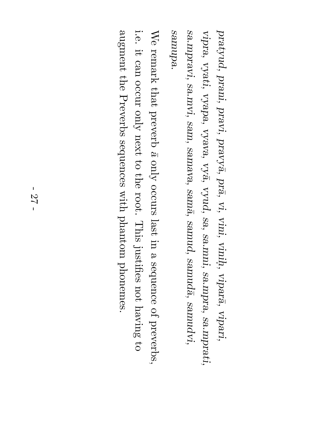pratyud, prani, pravi, pravy¯a,  $pi$ ā, vi, vini, vinih. , viparā, vipari, vipra, vyati,  $v$ a $P$ vyava, vy¯a, vyud, sa, sa.mni, sa.mpra, sa.mprati, sa.mpravi,  $sa.mvi,$ sam, samava,  $sama,$ samud,  $sannud\bar{a},$ samudvi, samupa*ednures* 

We remark  $\thinspace \mathrm{that}$ preverb  $\overline{a}$ only occurs last in  $\boldsymbol{\omega}$ sequence of preverbs, i.e.  $\Xi$ : can occur only next  $\Xi$ the root. This justifies not having  $\Xi^+$ augment the Preverbs sequences with phantom phonemes.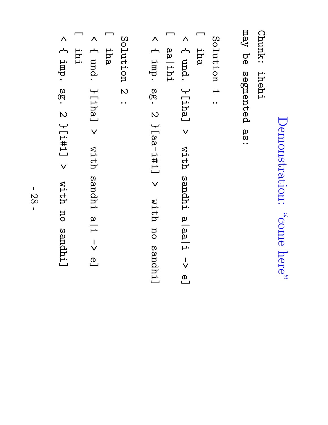# Demonstration:  $\partial {\rm UIO} {\rm O},$ here"

Chunk: ihehi

 $\chi_{\rm{e} \rm{m}}$ ರ<br>೧ segmented ထ<br>က<br>• •

Solution  $\overline{\phantom{0}}$ :

 $\Box$ iha<br>h

 $\overline{\wedge}$  $\overline{\phantom{a}}$ und.  $\{$  [ina]  $\checkmark$ with sandhi a|aa|i l<br>V  $\mathbf{\Omega}$  $\Box$ aa|ihi

 $\overline{\wedge}$  $\overline{\phantom{a}}$ imp. ღ.<br>ლ  $\overline{\mathcal{C}}$  $[141 - 141]$  $\checkmark$ with no sandhi]

Solution  $\overline{\mathcal{C}}$ :

 $\Box$ iha<br>h

 $\overline{\wedge}$  $\overline{\phantom{a}}$ und.  $\{\text{ini}\}$  $\checkmark$ with sandhi م<br>⊣. l<br>V  $\mathbf{\Omega}$  $\Box$ ihi

 $\overline{\wedge}$  $\overline{\phantom{a}}$ imp. ღ.<br>თ  $\overline{\mathcal{C}}$ }[i#1]  $\checkmark$ with no sandhi]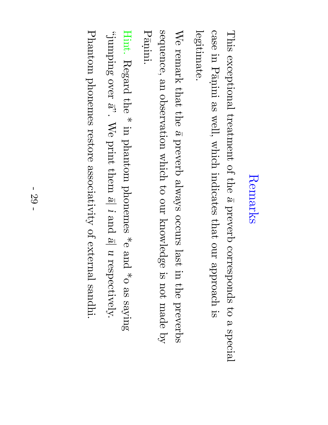#### Remarks Remarks

This exceptional treatment of the  $\overline{a}$ preverb corresponds  $\Xi$  $\mathbf \varphi$ special case in  ${\rm \dot{Pa}}$ ini e<br>S well, which indicates  $\mathrm{that}$ our approach  $\Xi.$ legitimate.

**N**e remark  $\thinspace \mathrm{that}$ the  $\overline{a}$ preverb  $\alpha_{\rm W}$ ays occurs last in the preverbs sequence, an<br>D observation which  $\Xi$ our knowledge  $\Xi.$ not made  $\mathcal{\widetilde{Q}}$  ${\rm \dot{P}}$ ini.

Hint.  ${\rm Regard}$ the \* in phantom phonemes  $\overset{*}{\circ}$ and  $\breve{\circ}^*$ es<br>S  $\operatorname{sing}$  $\mathrm{surdumf,}$ over  $\varpi$ ". We print  $\thinspace\mathrm{them}$  $\overline{\vec{a}^{\top}}$ İ. and  $\overline{\vec{a}^{\top}}$  $\mathbf{Z}% _{T}=\mathbf{Z}_{T}$ respectively.

Phantom phonemes restore  $\alpha$ ssociativity of external sandhi.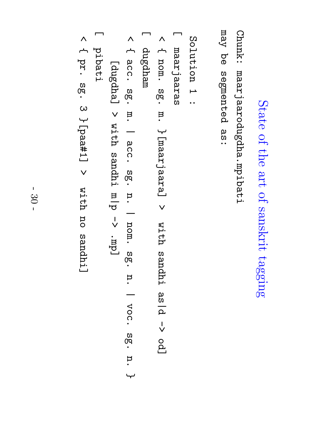#### State  $\Gamma$ the art<br>1  $\Gamma$ sanskrit tagging

Chunk: maarjaarodugdha.mpibati maarjaarodugdha.mpibati

 $\chi_{\rm{BIII}}$ ር<br>ወ segmented က<br>က<br>• •

Solution  $\overline{\phantom{0}}$ 

:

- $\Box$ maarjaaras
- $\overline{\wedge}$  $\overline{\phantom{a}}$ nom. ღ.<br>თ m.  $\{$  [maar $\,$ jaara]  $\checkmark$ with sandhi as|d l<br>V od]  $\Box$ dugdham
- $\overline{\wedge}$  $\overline{\phantom{a}}$ ac.<br>. ღ.<br>თ m. | ac<br>CC. ღ.<br>თ n.  $\overline{\phantom{0}}$ nom. ღ.<br>თ n. —<br> voc. ღ.<br>თ n. ىہ [dugdha]  $\checkmark$ with sandhi d | u l<br>V  $\overline{\mathrm{cm}}$  .
- $\Box$ pibati
- $\overline{\wedge}$  $\overline{\phantom{a}}$ pr. ღ.<br>ლ ω  $[$ l#ee ${\rm d}$ ] $\{$  $\checkmark$ with no sandhi]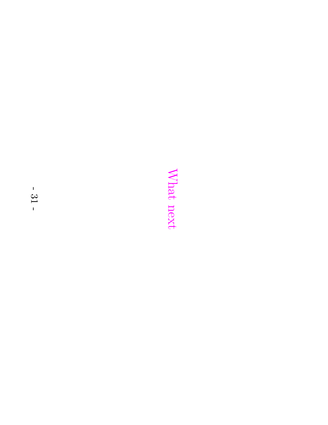-  $\overset{\text{\tiny{c}}}{\mathbb{I}}$   $\rm{What}$ next